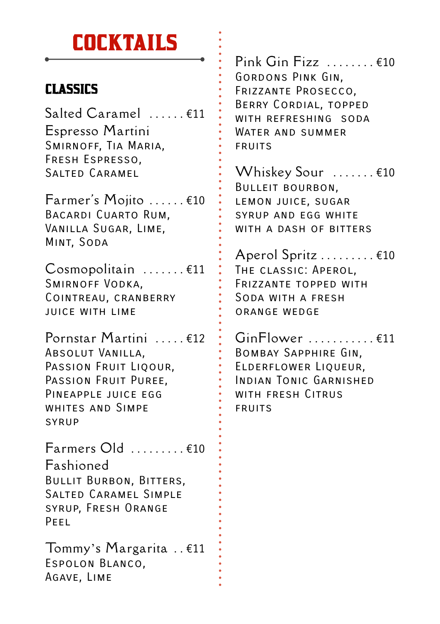#### **COCKTAILS**

#### CLASSICS

 $Salded Caramel$   $f11$ Espresso Martini Smirnoff, Tia Maria, Fresh Espresso, Salted Caramel

Farmer's Mojito . . . . . . €10 Bacardi Cuarto Rum, Vanilla Sugar, Lime, Mint, Soda

Cosmopolitain . . . . . . . €11 Smirnoff Vodka, Cointreau, cranberry juice with lime

Pornstar Martini . . . . . €12 Absolut Vanilla, PASSION FRUIT LIQOUR. PASSION FRUIT PUREE. Pineapple juice egg whites and Simpe syrup

Farmers Old . . . . . . . . . €10 Fashioned Bullit Burbon, Bitters, Salted Caramel Simple syrup, Fresh Orange Peel

Tommy's Margarita . . €11 Espolon Blanco, Agave, Lime

 $Pink$  Gin Fizz  $......$   $\in$  10 Gordons Pink Gin, Frizzante Prosecco, Berry Cordial, topped WITH REFRESHING SODA WATER AND SUMMER fruits

Whiskey Sour ....... €10 Bulleit bourbon, lemon juice, sugar syrup and egg white WITH A DASH OF BITTERS

Aperol Spritz . . . . . . . . . €10 The classic: Aperol, Frizzante topped with Soda with a fresh orange wedge

 $GinFlower$  . . . . . . . . . . .  $E11$ Bombay Sapphire Gin, Elderflower Liqueur, Indian Tonic Garnished WITH FRESH CITRUS **FRUITS**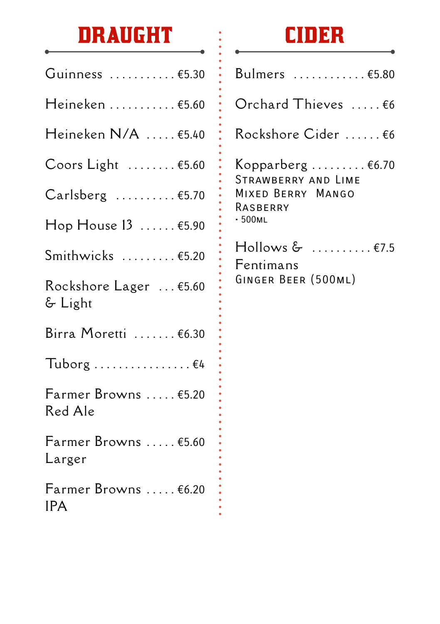# **DRAUGHT**

| Guinness  €5.30                    |
|------------------------------------|
| Heineken €5.60                     |
| Heineken N/A  €5.40                |
| Coors Light  €5.60                 |
| $Carlsberg$ $£5.70$                |
| Hop House 13  €5.90                |
| Smithwicks  €5.20                  |
| Rockshore Lager  €5.60<br>& Light  |
| Birra Moretti  €6.30               |
| Tuborg  €4                         |
| Farmer Browns  €5.20<br>Red Ale    |
| Farmer Browns  €5.60<br>Larger     |
| Farmer Browns  €6.20<br><b>IPA</b> |

 $\bullet$ 

### **CIDER**

| Bulmers €5.80                                                                                             |
|-----------------------------------------------------------------------------------------------------------|
| Orchard Thieves  €6                                                                                       |
| Rockshore Cider  €6                                                                                       |
| Kopparberg $\epsilon$ 6.70<br>STRAWBERRY AND LIME<br>MIXED BERRY MANGO<br>RASBERRY<br>• 500 <sub>ML</sub> |
| $\mathsf{H}$ ollows & $\;\;\ldots\ldots\ldots\;\mathsf{E}$ 7.5<br>Fentimans<br>GINGER BEER (500ML)        |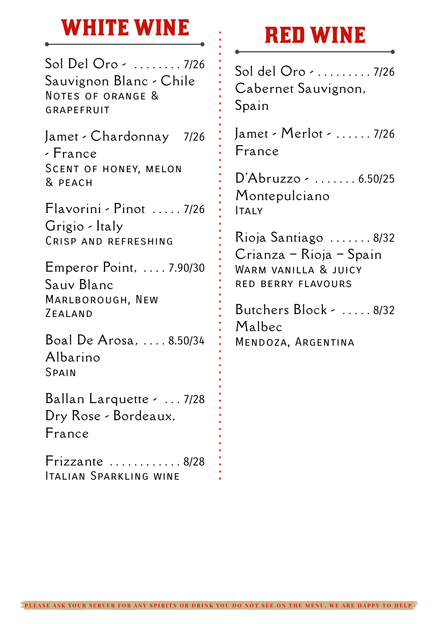#### **WHITE WINE**

Sol Del Oro - . . . . . . . . 7/26 Sauvignon Blanc - Chile Notes of orange & **GRAPFFRIIT** 

Jamet - Chardonnay 7/26 - France Scent of honey, melon & peach

Flavorini - Pinot . . . . . 7/26 Grigio - Italy Crisp and refreshing

Emperor Point, . . . . 7.90/30 Sauv Blanc Marlborough, New Zealand

Boal De Arosa, . . . . 8.50/34 Albarino Spain

Ballan Larquette - . . . 7/28 Dry Rose - Bordeaux, France

Frizzante . . . . . . . . . . . . 8/28 Italian Sparkling wine

### **RED WINE**

Sol del Oro - . . . . . . . . . 7/26 Cabernet Sauvignon, Spain

Jamet - Merlot - . . . . . . 7/26 France

D'Abruzzo - . . . . . . . 6.50/25 Montepulciano ITAIY

Rioja Santiago . . . . . . . 8/32 Crianza – Rioja – Spain Warm vanilla & juicy red berry flavours

Butchers Block - . . . . . 8/32 Malbec Mendoza, Argentina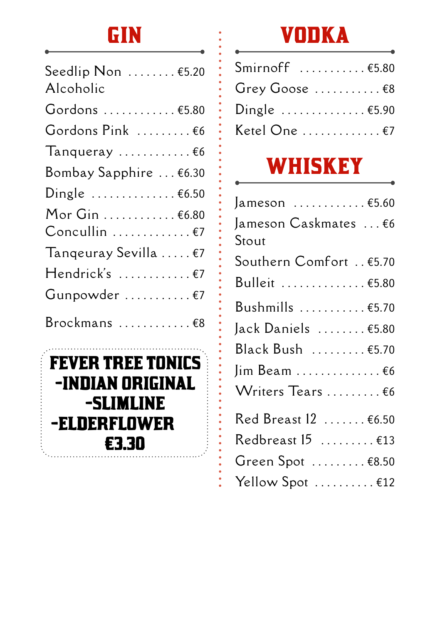## **GIN**

| Seedlip Non $\dots\dots$ $\epsilon$ 5.20<br>Alcoholic |
|-------------------------------------------------------|
| Gordons  €5.80                                        |
| Gordons Pink  €6                                      |
| Tanqueray $\ldots \ldots \ldots \in 6$                |
| Bombay Sapphire  €6.30                                |
| Dingle $6.50$                                         |
| Mor Gin  €6.80                                        |
| $Concullin$ $E7$                                      |
| Tangeuray Sevilla  €7                                 |
| Hendrick's  €7                                        |
| Gunpowder  €7                                         |
| Brockmans  €8                                         |



## **VODKA**

| Smirnoff €5.80                            |  |
|-------------------------------------------|--|
| Grey Goose $\dots\dots\dots\in\mathbf{8}$ |  |
| Dingle $\dots \dots \dots \dots \in 5.90$ |  |
| Ketel One €7                              |  |

# **WHISKEY**

| Jameson  €5.60                     |
|------------------------------------|
| Jameson Caskmates  €6<br>Stout     |
| Southern Comfort €5.70             |
| Bulleit  €5.80                     |
| Bushmills  €5.70                   |
| Jack Daniels  €5.80                |
| Black Bush  €5.70                  |
| $\lim$ Beam $66$                   |
| Writers Tears  €6                  |
| Red Breast 12  €6.50               |
| Redbreast $15$ $£13$               |
| Green Spot $\dots\dots\dots$ £8.50 |
| Yellow Spot  €12                   |